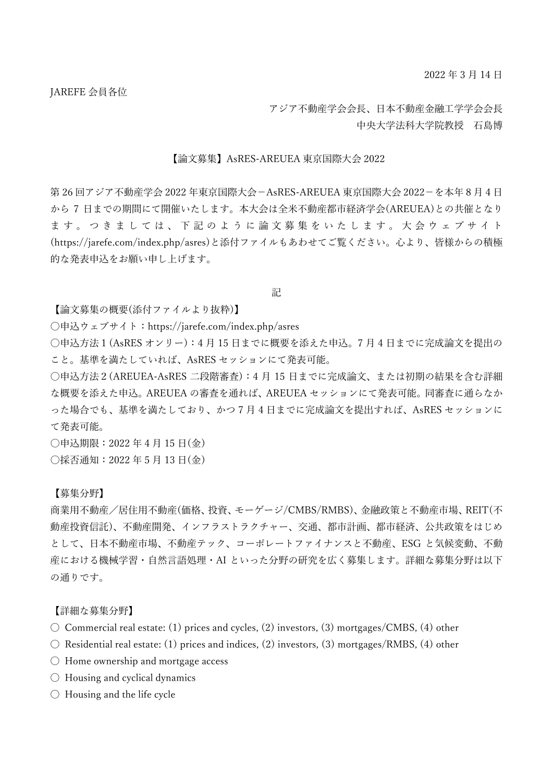アジア不動産学会会長、日本不動産金融工学学会会長 中央大学法科大学院教授 石島博

## 【論文募集】AsRES-AREUEA 東京国際大会 2022

第 26 回アジア不動産学会 2022 年東京国際大会-AsRES-AREUEA 東京国際大会 2022-を本年 8 月 4 日 から 7 日までの期間にて開催いたします。本大会は全米不動産都市経済学会(AREUEA)との共催となり ます。 つきましては、 下記のように 論文募集をいたします。 大会ウェブサイト (https://jarefe.com/index.php/asres)と添付ファイルもあわせてご覧ください。心より、皆様からの積極 的な発表申込をお願い申し上げます。

記

【論文募集の概要(添付ファイルより抜粋)】

〇申込ウェブサイト:https://jarefe.com/index.php/asres

〇申込方法1(AsRES オンリー):4 月 15 日までに概要を添えた申込。7 月 4 日までに完成論文を提出の こと。基準を満たしていれば、AsRES セッションにて発表可能。

〇申込方法2(AREUEA-AsRES 二段階審査):4 月 15 日までに完成論文、または初期の結果を含む詳細 な概要を添えた申込。AREUEA の審査を通れば、AREUEA セッションにて発表可能。同審査に通らなか った場合でも、基準を満たしており、かつ 7 月 4 日までに完成論文を提出すれば、AsRES セッションに て発表可能。

〇申込期限:2022 年 4 月 15 日(金) 〇採否通知:2022 年 5 月 13 日(金)

【募集分野】

商業用不動産/居住用不動産(価格、投資、モーゲージ/CMBS/RMBS)、金融政策と不動産市場、REIT(不 動産投資信託)、不動産開発、インフラストラクチャー、交通、都市計画、都市経済、公共政策をはじめ として、日本不動産市場、不動産テック、コーポレートファイナンスと不動産、ESG と気候変動、不動 産における機械学習・自然言語処理・AI といった分野の研究を広く募集します。詳細な募集分野は以下 の通りです。

【詳細な募集分野】

- $\bigcirc$  Commercial real estate: (1) prices and cycles, (2) investors, (3) mortgages/CMBS, (4) other
- 〇 Residential real estate: (1) prices and indices, (2) investors, (3) mortgages/RMBS, (4) other
- 〇 Home ownership and mortgage access
- 〇 Housing and cyclical dynamics
- 〇 Housing and the life cycle